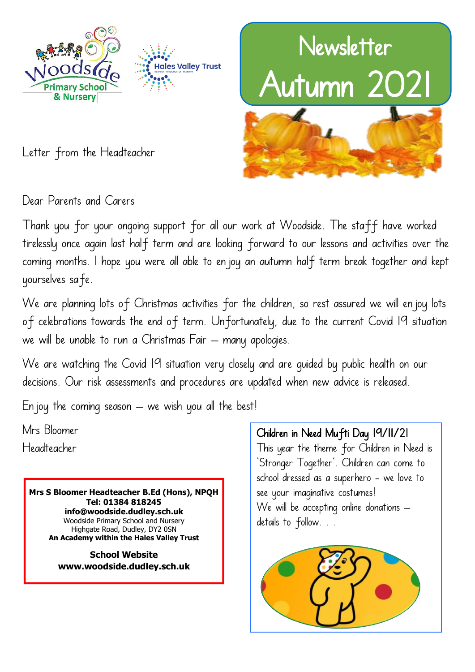



Letter from the Headteacher

Dear Parents and Carers

Thank you for your ongoing support for all our work at Woodside. The staff have worked tirelessly once again last half term and are looking forward to our lessons and activities over the coming months. I hope you were all able to enjoy an autumn half term break together and kept yourselves safe.

We are planning lots of Christmas activities for the children, so rest assured we will en joy lots of celebrations towards the end of term. Unfortunately, due to the current Covid 19 situation we will be unable to run a Christmas Fair – many apologies.

We are watching the Covid 19 situation very closely and are guided by public health on our decisions. Our risk assessments and procedures are updated when new advice is released.

En joy the coming season  $-$  we wish you all the best!

Mrs Bloomer Headteacher

> **Mrs S Bloomer Headteacher B.Ed (Hons), NPQH Tel: 01384 818245 info@woodside.dudley.sch.uk** Woodside Primary School and Nursery Highgate Road, Dudley, DY2 0SN **An Academy within the Hales Valley Trust**

**School Website www.woodside.dudley.sch.uk** Children in Need Mufti Day 19/11/21

This year the theme for Children in Need is 'Stronger Together'. Children can come to school dressed as a superhero - we love to see your imaginative costumes! We will be accepting online donations details to follow. . .

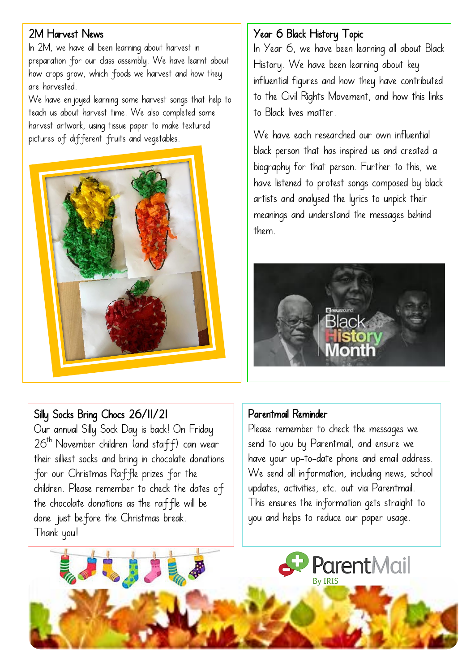## 2M Harvest News

In 2M, we have all been learning about harvest in preparation for our class assembly. We have learnt about how crops grow, which foods we harvest and how they are harvested.

We have enjoyed learning some harvest songs that help to teach us about harvest time. We also completed some harvest artwork, using tissue paper to make textured pictures of different fruits and vegetables.



## Year 6 Black History Topic

In Year 6, we have been learning all about Black History. We have been learning about key influential figures and how they have contributed to the Civil Rights Movement, and how this links to Black lives matter.

We have each researched our own influential black person that has inspired us and created a biography for that person. Further to this, we have listened to protest songs composed by black artists and analysed the lyrics to unpick their meanings and understand the messages behind them.



# Silly Socks Bring Chocs 26/11/21

Our annual Silly Sock Day is back! On Friday  $26<sup>th</sup>$  November children (and staff) can wear their silliest socks and bring in chocolate donations for our Christmas Raffle prizes for the children. Please remember to check the dates of the chocolate donations as the raffle will be done just before the Christmas break. Thank you!

## Parentmail Reminder

Please remember to check the messages we send to you by Parentmail, and ensure we have your up-to-date phone and email address. We send all information, including news, school updates, activities, etc. out via Parentmail. This ensures the information gets straight to you and helps to reduce our paper usage.